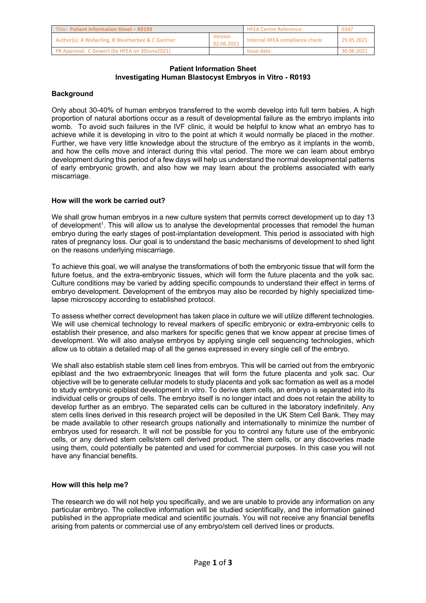| Title: Patient Information Sheet - R0193         |                       | <b>HFEA Centre Reference:</b>   | 0347       |
|--------------------------------------------------|-----------------------|---------------------------------|------------|
| Author(s): A Weberling, B Weatherbee & C Gantner | Version<br>02.06.2021 | Internal HFEA compliance check: | 29.05.2021 |
| PR Approval: C Gewert (by HFEA on 30June2021)    |                       | Issue date:                     | 30.06.2021 |

#### **Patient Information Sheet Investigating Human Blastocyst Embryos in Vitro - R0193**

### **Background**

Only about 30-40% of human embryos transferred to the womb develop into full term babies. A high proportion of natural abortions occur as a result of developmental failure as the embryo implants into womb. To avoid such failures in the IVF clinic, it would be helpful to know what an embryo has to achieve while it is developing in vitro to the point at which it would normally be placed in the mother. Further, we have very little knowledge about the structure of the embryo as it implants in the womb, and how the cells move and interact during this vital period. The more we can learn about embryo development during this period of a few days will help us understand the normal developmental patterns of early embryonic growth, and also how we may learn about the problems associated with early miscarriage.

### **How will the work be carried out?**

We shall grow human embryos in a new culture system that permits correct development up to day 13 of development1. This will allow us to analyse the developmental processes that remodel the human embryo during the early stages of post-implantation development. This period is associated with high rates of pregnancy loss. Our goal is to understand the basic mechanisms of development to shed light on the reasons underlying miscarriage.

To achieve this goal, we will analyse the transformations of both the embryonic tissue that will form the future foetus, and the extra-embryonic tissues, which will form the future placenta and the yolk sac. Culture conditions may be varied by adding specific compounds to understand their effect in terms of embryo development. Development of the embryos may also be recorded by highly specialized timelapse microscopy according to established protocol.

To assess whether correct development has taken place in culture we will utilize different technologies. We will use chemical technology to reveal markers of specific embryonic or extra-embryonic cells to establish their presence, and also markers for specific genes that we know appear at precise times of development. We will also analyse embryos by applying single cell sequencing technologies, which allow us to obtain a detailed map of all the genes expressed in every single cell of the embryo.

We shall also establish stable stem cell lines from embryos. This will be carried out from the embryonic epiblast and the two extraembryonic lineages that will form the future placenta and yolk sac. Our objective will be to generate cellular models to study placenta and yolk sac formation as well as a model to study embryonic epiblast development in vitro. To derive stem cells, an embryo is separated into its individual cells or groups of cells. The embryo itself is no longer intact and does not retain the ability to develop further as an embryo. The separated cells can be cultured in the laboratory indefinitely. Any stem cells lines derived in this research project will be deposited in the UK Stem Cell Bank. They may be made available to other research groups nationally and internationally to minimize the number of embryos used for research. It will not be possible for you to control any future use of the embryonic cells, or any derived stem cells/stem cell derived product. The stem cells, or any discoveries made using them, could potentially be patented and used for commercial purposes. In this case you will not have any financial benefits.

### **How will this help me?**

The research we do will not help you specifically, and we are unable to provide any information on any particular embryo. The collective information will be studied scientifically, and the information gained published in the appropriate medical and scientific journals. You will not receive any financial benefits arising from patents or commercial use of any embryo/stem cell derived lines or products.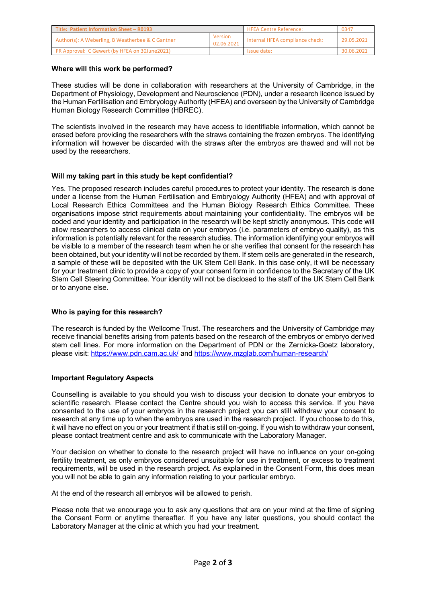| Title: Patient Information Sheet - R0193         |                       | <b>HFEA Centre Reference:</b>   | 0347       |
|--------------------------------------------------|-----------------------|---------------------------------|------------|
| Author(s): A Weberling, B Weatherbee & C Gantner | Version<br>02.06.2021 | Internal HFEA compliance check: | 29.05.2021 |
| PR Approval: C Gewert (by HFEA on 30June2021)    |                       | Issue date:                     | 30.06.2021 |

### **Where will this work be performed?**

These studies will be done in collaboration with researchers at the University of Cambridge, in the Department of Physiology, Development and Neuroscience (PDN), under a research licence issued by the Human Fertilisation and Embryology Authority (HFEA) and overseen by the University of Cambridge Human Biology Research Committee (HBREC).

The scientists involved in the research may have access to identifiable information, which cannot be erased before providing the researchers with the straws containing the frozen embryos. The identifying information will however be discarded with the straws after the embryos are thawed and will not be used by the researchers.

# **Will my taking part in this study be kept confidential?**

Yes. The proposed research includes careful procedures to protect your identity. The research is done under a license from the Human Fertilisation and Embryology Authority (HFEA) and with approval of Local Research Ethics Committees and the Human Biology Research Ethics Committee. These organisations impose strict requirements about maintaining your confidentiality. The embryos will be coded and your identity and participation in the research will be kept strictly anonymous. This code will allow researchers to access clinical data on your embryos (i.e. parameters of embryo quality), as this information is potentially relevant for the research studies. The information identifying your embryos will be visible to a member of the research team when he or she verifies that consent for the research has been obtained, but your identity will not be recorded by them. If stem cells are generated in the research, a sample of these will be deposited with the UK Stem Cell Bank. In this case only, it will be necessary for your treatment clinic to provide a copy of your consent form in confidence to the Secretary of the UK Stem Cell Steering Committee. Your identity will not be disclosed to the staff of the UK Stem Cell Bank or to anyone else.

### **Who is paying for this research?**

The research is funded by the Wellcome Trust. The researchers and the University of Cambridge may receive financial benefits arising from patents based on the research of the embryos or embryo derived stem cell lines. For more information on the Department of PDN or the Zernicka-Goetz laboratory, please visit: https://www.pdn.cam.ac.uk/ and https://www.mzglab.com/human-research/

# **Important Regulatory Aspects**

Counselling is available to you should you wish to discuss your decision to donate your embryos to scientific research. Please contact the Centre should you wish to access this service. If you have consented to the use of your embryos in the research project you can still withdraw your consent to research at any time up to when the embryos are used in the research project. If you choose to do this, it will have no effect on you or your treatment if that is still on-going. If you wish to withdraw your consent, please contact treatment centre and ask to communicate with the Laboratory Manager.

Your decision on whether to donate to the research project will have no influence on your on-going fertility treatment, as only embryos considered unsuitable for use in treatment, or excess to treatment requirements, will be used in the research project. As explained in the Consent Form, this does mean you will not be able to gain any information relating to your particular embryo.

At the end of the research all embryos will be allowed to perish.

Please note that we encourage you to ask any questions that are on your mind at the time of signing the Consent Form or anytime thereafter. If you have any later questions, you should contact the Laboratory Manager at the clinic at which you had your treatment.